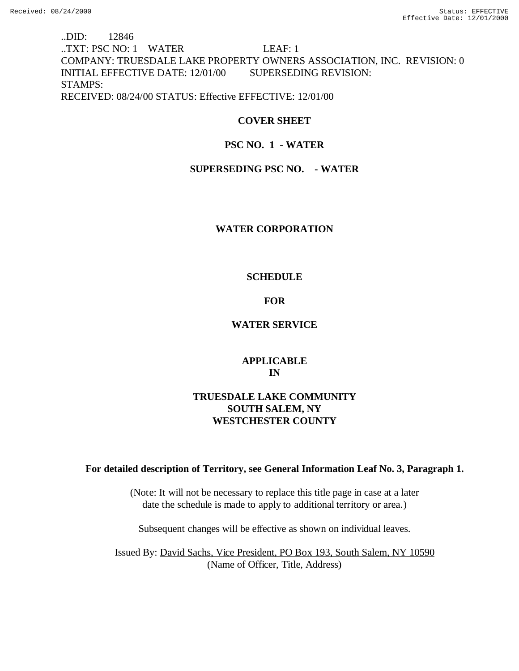..DID: 12846 ..TXT: PSC NO: 1 WATER LEAF: 1 COMPANY: TRUESDALE LAKE PROPERTY OWNERS ASSOCIATION, INC. REVISION: 0 INITIAL EFFECTIVE DATE: 12/01/00 SUPERSEDING REVISION: STAMPS: RECEIVED: 08/24/00 STATUS: Effective EFFECTIVE: 12/01/00

# **COVER SHEET**

# **PSC NO. 1 - WATER**

# **SUPERSEDING PSC NO. - WATER**

## **WATER CORPORATION**

## **SCHEDULE**

# **FOR**

## **WATER SERVICE**

# **APPLICABLE IN**

# **TRUESDALE LAKE COMMUNITY SOUTH SALEM, NY WESTCHESTER COUNTY**

## **For detailed description of Territory, see General Information Leaf No. 3, Paragraph 1.**

(Note: It will not be necessary to replace this title page in case at a later date the schedule is made to apply to additional territory or area.)

Subsequent changes will be effective as shown on individual leaves.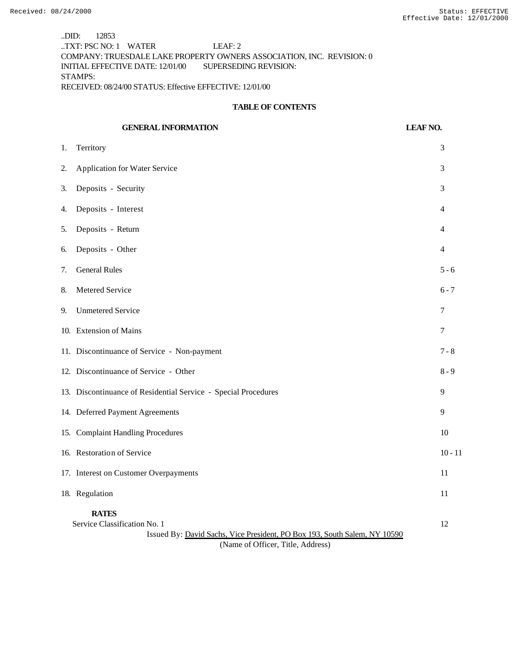..DID: 12853 ..TXT: PSC NO: 1 WATER LEAF: 2 COMPANY: TRUESDALE LAKE PROPERTY OWNERS ASSOCIATION, INC. REVISION: 0 INITIAL EFFECTIVE DATE: 12/01/00 SUPERSEDING REVISION: STAMPS: RECEIVED: 08/24/00 STATUS: Effective EFFECTIVE: 12/01/00

#### **TABLE OF CONTENTS**

|    | <b>GENERAL INFORMATION</b>                                                                                                | <b>LEAF NO.</b> |
|----|---------------------------------------------------------------------------------------------------------------------------|-----------------|
| 1. | Territory                                                                                                                 | 3               |
| 2. | <b>Application for Water Service</b>                                                                                      | 3               |
| 3. | Deposits - Security                                                                                                       | 3               |
| 4. | Deposits - Interest                                                                                                       | 4               |
| 5. | Deposits - Return                                                                                                         | 4               |
| 6. | Deposits - Other                                                                                                          | $\overline{4}$  |
| 7. | <b>General Rules</b>                                                                                                      | $5 - 6$         |
| 8. | Metered Service                                                                                                           | $6 - 7$         |
| 9. | <b>Unmetered Service</b>                                                                                                  | 7               |
|    | 10. Extension of Mains                                                                                                    | 7               |
|    | 11. Discontinuance of Service - Non-payment                                                                               | $7 - 8$         |
|    | 12. Discontinuance of Service - Other                                                                                     | $8 - 9$         |
|    | 13. Discontinuance of Residential Service - Special Procedures                                                            | 9               |
|    | 14. Deferred Payment Agreements                                                                                           | 9               |
|    | 15. Complaint Handling Procedures                                                                                         | 10              |
|    | 16. Restoration of Service                                                                                                | $10 - 11$       |
|    | 17. Interest on Customer Overpayments                                                                                     | 11              |
|    | 18. Regulation                                                                                                            | 11              |
|    | <b>RATES</b><br>Service Classification No. 1<br>Issued By: David Sachs, Vice President, PO Box 193, South Salem, NY 10590 | 12              |

(Name of Officer, Title, Address)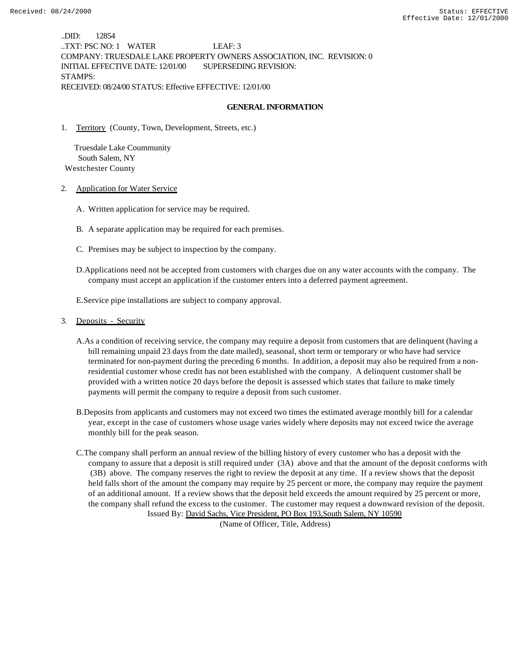..DID: 12854 ..TXT: PSC NO: 1 WATER LEAF: 3 COMPANY: TRUESDALE LAKE PROPERTY OWNERS ASSOCIATION, INC. REVISION: 0 INITIAL EFFECTIVE DATE: 12/01/00 SUPERSEDING REVISION: STAMPS: RECEIVED: 08/24/00 STATUS: Effective EFFECTIVE: 12/01/00

### **GENERAL INFORMATION**

1. Territory (County, Town, Development, Streets, etc.)

 Truesdale Lake Coummunity South Salem, NY Westchester County

- 2. Application for Water Service
	- A. Written application for service may be required.
	- B. A separate application may be required for each premises.
	- C. Premises may be subject to inspection by the company.
	- D.Applications need not be accepted from customers with charges due on any water accounts with the company. The company must accept an application if the customer enters into a deferred payment agreement.

E.Service pipe installations are subject to company approval.

- 3. Deposits Security
	- A.As a condition of receiving service, the company may require a deposit from customers that are delinquent (having a bill remaining unpaid 23 days from the date mailed), seasonal, short term or temporary or who have had service terminated for non-payment during the preceding 6 months. In addition, a deposit may also be required from a nonresidential customer whose credit has not been established with the company. A delinquent customer shall be provided with a written notice 20 days before the deposit is assessed which states that failure to make timely payments will permit the company to require a deposit from such customer.
	- B.Deposits from applicants and customers may not exceed two times the estimated average monthly bill for a calendar year, except in the case of customers whose usage varies widely where deposits may not exceed twice the average monthly bill for the peak season.
	- C.The company shall perform an annual review of the billing history of every customer who has a deposit with the company to assure that a deposit is still required under (3A) above and that the amount of the deposit conforms with (3B) above. The company reserves the right to review the deposit at any time. If a review shows that the deposit held falls short of the amount the company may require by 25 percent or more, the company may require the payment of an additional amount. If a review shows that the deposit held exceeds the amount required by 25 percent or more, the company shall refund the excess to the customer. The customer may request a downward revision of the deposit. Issued By: David Sachs, Vice President, PO Box 193,South Salem, NY 10590

(Name of Officer, Title, Address)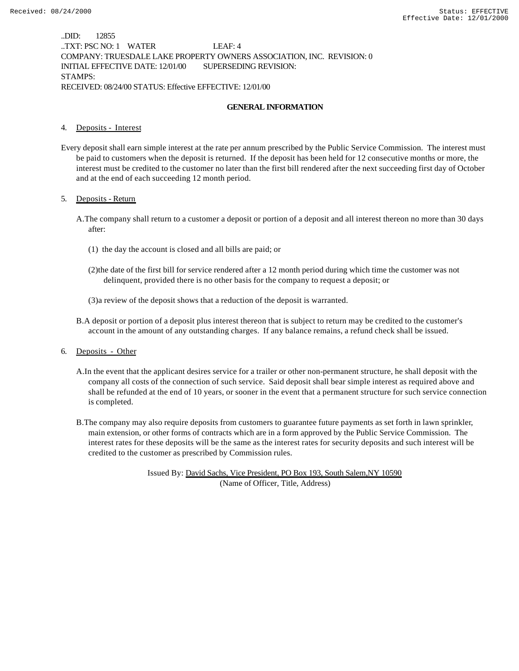..DID: 12855 ..TXT: PSC NO: 1 WATER LEAF: 4 COMPANY: TRUESDALE LAKE PROPERTY OWNERS ASSOCIATION, INC. REVISION: 0 INITIAL EFFECTIVE DATE: 12/01/00 SUPERSEDING REVISION: STAMPS: RECEIVED: 08/24/00 STATUS: Effective EFFECTIVE: 12/01/00

### **GENERAL INFORMATION**

#### 4. Deposits - Interest

Every deposit shall earn simple interest at the rate per annum prescribed by the Public Service Commission. The interest must be paid to customers when the deposit is returned. If the deposit has been held for 12 consecutive months or more, the interest must be credited to the customer no later than the first bill rendered after the next succeeding first day of October and at the end of each succeeding 12 month period.

#### 5. Deposits - Return

- A.The company shall return to a customer a deposit or portion of a deposit and all interest thereon no more than 30 days after:
	- (1) the day the account is closed and all bills are paid; or
	- (2)the date of the first bill for service rendered after a 12 month period during which time the customer was not delinquent, provided there is no other basis for the company to request a deposit; or
	- (3)a review of the deposit shows that a reduction of the deposit is warranted.
- B.A deposit or portion of a deposit plus interest thereon that is subject to return may be credited to the customer's account in the amount of any outstanding charges. If any balance remains, a refund check shall be issued.
- 6. Deposits Other
	- A.In the event that the applicant desires service for a trailer or other non-permanent structure, he shall deposit with the company all costs of the connection of such service. Said deposit shall bear simple interest as required above and shall be refunded at the end of 10 years, or sooner in the event that a permanent structure for such service connection is completed.
	- B.The company may also require deposits from customers to guarantee future payments as set forth in lawn sprinkler, main extension, or other forms of contracts which are in a form approved by the Public Service Commission. The interest rates for these deposits will be the same as the interest rates for security deposits and such interest will be credited to the customer as prescribed by Commission rules.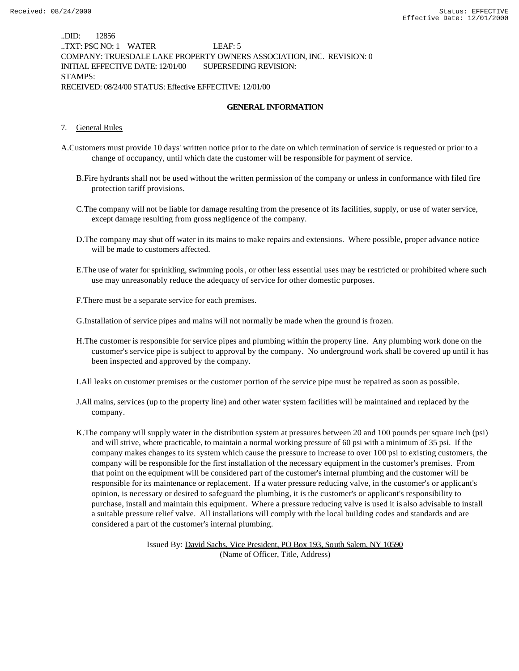..DID: 12856 ..TXT: PSC NO: 1 WATER LEAF: 5 COMPANY: TRUESDALE LAKE PROPERTY OWNERS ASSOCIATION, INC. REVISION: 0 INITIAL EFFECTIVE DATE: 12/01/00 SUPERSEDING REVISION: STAMPS: RECEIVED: 08/24/00 STATUS: Effective EFFECTIVE: 12/01/00

### **GENERAL INFORMATION**

#### 7. General Rules

- A.Customers must provide 10 days' written notice prior to the date on which termination of service is requested or prior to a change of occupancy, until which date the customer will be responsible for payment of service.
	- B.Fire hydrants shall not be used without the written permission of the company or unless in conformance with filed fire protection tariff provisions.
	- C.The company will not be liable for damage resulting from the presence of its facilities, supply, or use of water service, except damage resulting from gross negligence of the company.
	- D.The company may shut off water in its mains to make repairs and extensions. Where possible, proper advance notice will be made to customers affected.
	- E.The use of water for sprinkling, swimming pools, or other less essential uses may be restricted or prohibited where such use may unreasonably reduce the adequacy of service for other domestic purposes.
	- F.There must be a separate service for each premises.

G.Installation of service pipes and mains will not normally be made when the ground is frozen.

H.The customer is responsible for service pipes and plumbing within the property line. Any plumbing work done on the customer's service pipe is subject to approval by the company. No underground work shall be covered up until it has been inspected and approved by the company.

I.All leaks on customer premises or the customer portion of the service pipe must be repaired as soon as possible.

- J.All mains, services (up to the property line) and other water system facilities will be maintained and replaced by the company.
- K.The company will supply water in the distribution system at pressures between 20 and 100 pounds per square inch (psi) and will strive, where practicable, to maintain a normal working pressure of 60 psi with a minimum of 35 psi. If the company makes changes to its system which cause the pressure to increase to over 100 psi to existing customers, the company will be responsible for the first installation of the necessary equipment in the customer's premises. From that point on the equipment will be considered part of the customer's internal plumbing and the customer will be responsible for its maintenance or replacement. If a water pressure reducing valve, in the customer's or applicant's opinion, is necessary or desired to safeguard the plumbing, it is the customer's or applicant's responsibility to purchase, install and maintain this equipment. Where a pressure reducing valve is used it is also advisable to install a suitable pressure relief valve. All installations will comply with the local building codes and standards and are considered a part of the customer's internal plumbing.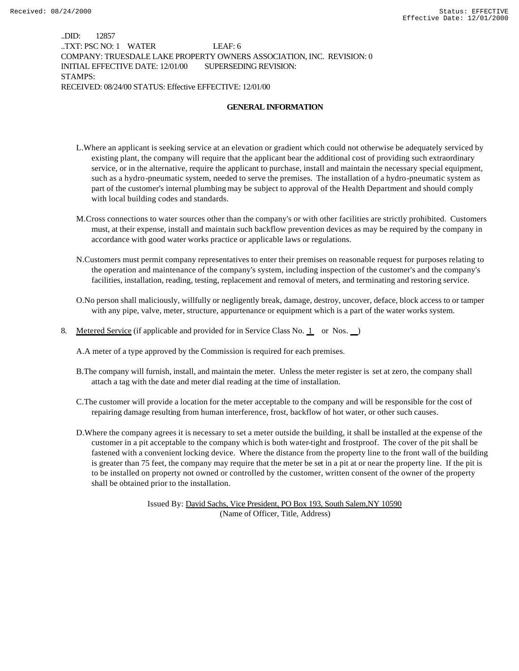..DID: 12857 ..TXT: PSC NO: 1 WATER LEAF: 6 COMPANY: TRUESDALE LAKE PROPERTY OWNERS ASSOCIATION, INC. REVISION: 0 INITIAL EFFECTIVE DATE: 12/01/00 SUPERSEDING REVISION: STAMPS: RECEIVED: 08/24/00 STATUS: Effective EFFECTIVE: 12/01/00

### **GENERAL INFORMATION**

- L.Where an applicant is seeking service at an elevation or gradient which could not otherwise be adequately serviced by existing plant, the company will require that the applicant bear the additional cost of providing such extraordinary service, or in the alternative, require the applicant to purchase, install and maintain the necessary special equipment, such as a hydro-pneumatic system, needed to serve the premises. The installation of a hydro-pneumatic system as part of the customer's internal plumbing may be subject to approval of the Health Department and should comply with local building codes and standards.
- M.Cross connections to water sources other than the company's or with other facilities are strictly prohibited. Customers must, at their expense, install and maintain such backflow prevention devices as may be required by the company in accordance with good water works practice or applicable laws or regulations.
- N.Customers must permit company representatives to enter their premises on reasonable request for purposes relating to the operation and maintenance of the company's system, including inspection of the customer's and the company's facilities, installation, reading, testing, replacement and removal of meters, and terminating and restoring service.
- O.No person shall maliciously, willfully or negligently break, damage, destroy, uncover, deface, block access to or tamper with any pipe, valve, meter, structure, appurtenance or equipment which is a part of the water works system.
- 8. Metered Service (if applicable and provided for in Service Class No. 1 or Nos. )

A.A meter of a type approved by the Commission is required for each premises.

- B.The company will furnish, install, and maintain the meter. Unless the meter register is set at zero, the company shall attach a tag with the date and meter dial reading at the time of installation.
- C.The customer will provide a location for the meter acceptable to the company and will be responsible for the cost of repairing damage resulting from human interference, frost, backflow of hot water, or other such causes.
- D.Where the company agrees it is necessary to set a meter outside the building, it shall be installed at the expense of the customer in a pit acceptable to the company which is both water-tight and frostproof. The cover of the pit shall be fastened with a convenient locking device. Where the distance from the property line to the front wall of the building is greater than 75 feet, the company may require that the meter be set in a pit at or near the property line. If the pit is to be installed on property not owned or controlled by the customer, written consent of the owner of the property shall be obtained prior to the installation.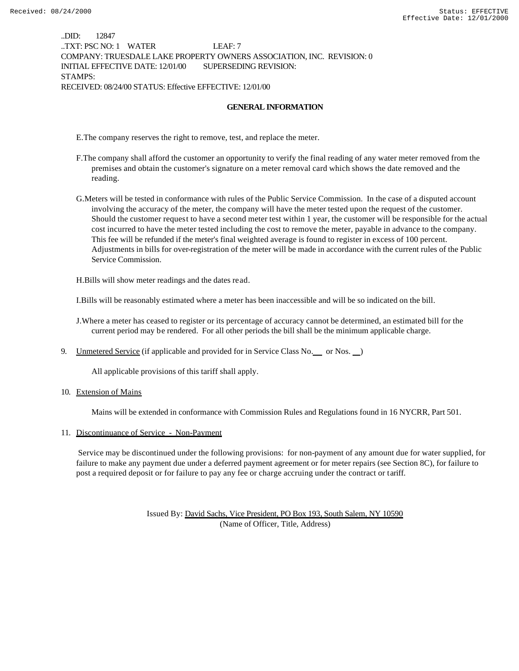..DID: 12847 ..TXT: PSC NO: 1 WATER LEAF: 7 COMPANY: TRUESDALE LAKE PROPERTY OWNERS ASSOCIATION, INC. REVISION: 0 INITIAL EFFECTIVE DATE: 12/01/00 SUPERSEDING REVISION: STAMPS: RECEIVED: 08/24/00 STATUS: Effective EFFECTIVE: 12/01/00

### **GENERAL INFORMATION**

E.The company reserves the right to remove, test, and replace the meter.

- F.The company shall afford the customer an opportunity to verify the final reading of any water meter removed from the premises and obtain the customer's signature on a meter removal card which shows the date removed and the reading.
- G.Meters will be tested in conformance with rules of the Public Service Commission. In the case of a disputed account involving the accuracy of the meter, the company will have the meter tested upon the request of the customer. Should the customer request to have a second meter test within 1 year, the customer will be responsible for the actual cost incurred to have the meter tested including the cost to remove the meter, payable in advance to the company. This fee will be refunded if the meter's final weighted average is found to register in excess of 100 percent. Adjustments in bills for over-registration of the meter will be made in accordance with the current rules of the Public Service Commission.

H.Bills will show meter readings and the dates read.

I.Bills will be reasonably estimated where a meter has been inaccessible and will be so indicated on the bill.

J.Where a meter has ceased to register or its percentage of accuracy cannot be determined, an estimated bill for the current period may be rendered. For all other periods the bill shall be the minimum applicable charge.

9. Unmetered Service (if applicable and provided for in Service Class No. \_\_ or Nos. \_\_)

All applicable provisions of this tariff shall apply.

10. Extension of Mains

Mains will be extended in conformance with Commission Rules and Regulations found in 16 NYCRR, Part 501.

#### 11. Discontinuance of Service - Non-Payment

 Service may be discontinued under the following provisions: for non-payment of any amount due for water supplied, for failure to make any payment due under a deferred payment agreement or for meter repairs (see Section 8C), for failure to post a required deposit or for failure to pay any fee or charge accruing under the contract or tariff.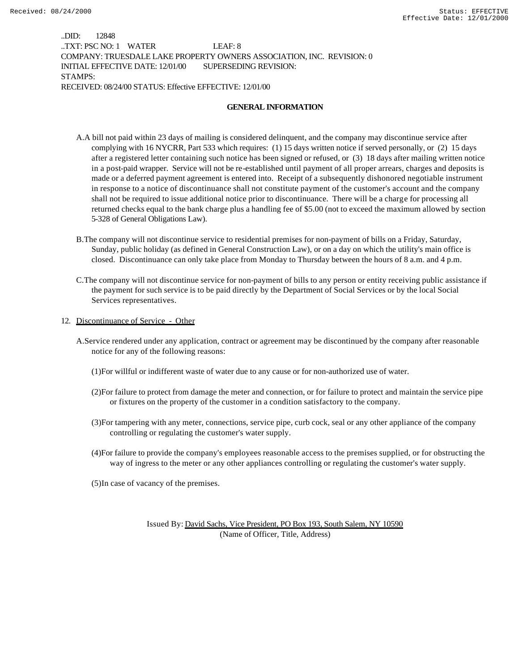..DID: 12848 ..TXT: PSC NO: 1 WATER LEAF: 8 COMPANY: TRUESDALE LAKE PROPERTY OWNERS ASSOCIATION, INC. REVISION: 0 INITIAL EFFECTIVE DATE: 12/01/00 SUPERSEDING REVISION: STAMPS: RECEIVED: 08/24/00 STATUS: Effective EFFECTIVE: 12/01/00

### **GENERAL INFORMATION**

- A.A bill not paid within 23 days of mailing is considered delinquent, and the company may discontinue service after complying with 16 NYCRR, Part 533 which requires: (1) 15 days written notice if served personally, or (2) 15 days after a registered letter containing such notice has been signed or refused, or (3) 18 days after mailing written notice in a post-paid wrapper. Service will not be re-established until payment of all proper arrears, charges and deposits is made or a deferred payment agreement is entered into. Receipt of a subsequently dishonored negotiable instrument in response to a notice of discontinuance shall not constitute payment of the customer's account and the company shall not be required to issue additional notice prior to discontinuance. There will be a charge for processing all returned checks equal to the bank charge plus a handling fee of \$5.00 (not to exceed the maximum allowed by section 5-328 of General Obligations Law).
- B.The company will not discontinue service to residential premises for non-payment of bills on a Friday, Saturday, Sunday, public holiday (as defined in General Construction Law), or on a day on which the utility's main office is closed. Discontinuance can only take place from Monday to Thursday between the hours of 8 a.m. and 4 p.m.
- C.The company will not discontinue service for non-payment of bills to any person or entity receiving public assistance if the payment for such service is to be paid directly by the Department of Social Services or by the local Social Services representatives.
- 12. Discontinuance of Service Other
	- A.Service rendered under any application, contract or agreement may be discontinued by the company after reasonable notice for any of the following reasons:
		- (1)For willful or indifferent waste of water due to any cause or for non-authorized use of water.
		- (2)For failure to protect from damage the meter and connection, or for failure to protect and maintain the service pipe or fixtures on the property of the customer in a condition satisfactory to the company.
		- (3)For tampering with any meter, connections, service pipe, curb cock, seal or any other appliance of the company controlling or regulating the customer's water supply.
		- (4)For failure to provide the company's employees reasonable access to the premises supplied, or for obstructing the way of ingress to the meter or any other appliances controlling or regulating the customer's water supply.
		- (5)In case of vacancy of the premises.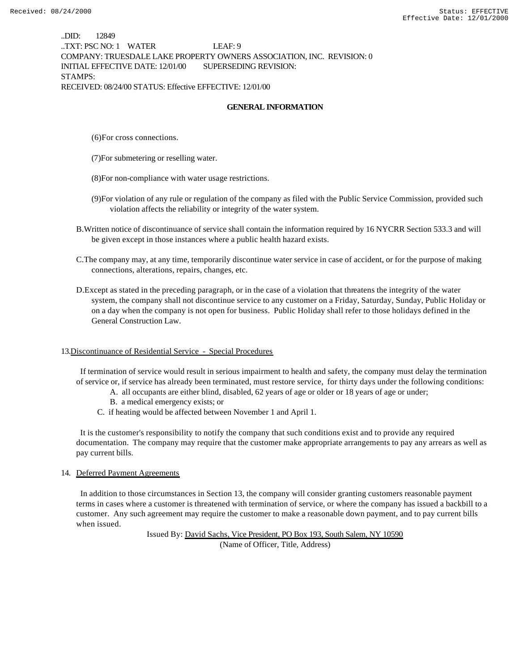..DID: 12849 ..TXT: PSC NO: 1 WATER LEAF: 9 COMPANY: TRUESDALE LAKE PROPERTY OWNERS ASSOCIATION, INC. REVISION: 0 INITIAL EFFECTIVE DATE: 12/01/00 SUPERSEDING REVISION: STAMPS: RECEIVED: 08/24/00 STATUS: Effective EFFECTIVE: 12/01/00

### **GENERAL INFORMATION**

(6)For cross connections.

(7)For submetering or reselling water.

(8)For non-compliance with water usage restrictions.

- (9)For violation of any rule or regulation of the company as filed with the Public Service Commission, provided such violation affects the reliability or integrity of the water system.
- B.Written notice of discontinuance of service shall contain the information required by 16 NYCRR Section 533.3 and will be given except in those instances where a public health hazard exists.
- C.The company may, at any time, temporarily discontinue water service in case of accident, or for the purpose of making connections, alterations, repairs, changes, etc.
- D.Except as stated in the preceding paragraph, or in the case of a violation that threatens the integrity of the water system, the company shall not discontinue service to any customer on a Friday, Saturday, Sunday, Public Holiday or on a day when the company is not open for business. Public Holiday shall refer to those holidays defined in the General Construction Law.

#### 13.Discontinuance of Residential Service - Special Procedures

 If termination of service would result in serious impairment to health and safety, the company must delay the termination of service or, if service has already been terminated, must restore service, for thirty days under the following conditions:

- A. all occupants are either blind, disabled, 62 years of age or older or 18 years of age or under;
- B. a medical emergency exists; or
- C. if heating would be affected between November 1 and April 1.

 It is the customer's responsibility to notify the company that such conditions exist and to provide any required documentation. The company may require that the customer make appropriate arrangements to pay any arrears as well as pay current bills.

#### 14. Deferred Payment Agreements

 In addition to those circumstances in Section 13, the company will consider granting customers reasonable payment terms in cases where a customer is threatened with termination of service, or where the company has issued a backbill to a customer. Any such agreement may require the customer to make a reasonable down payment, and to pay current bills when issued.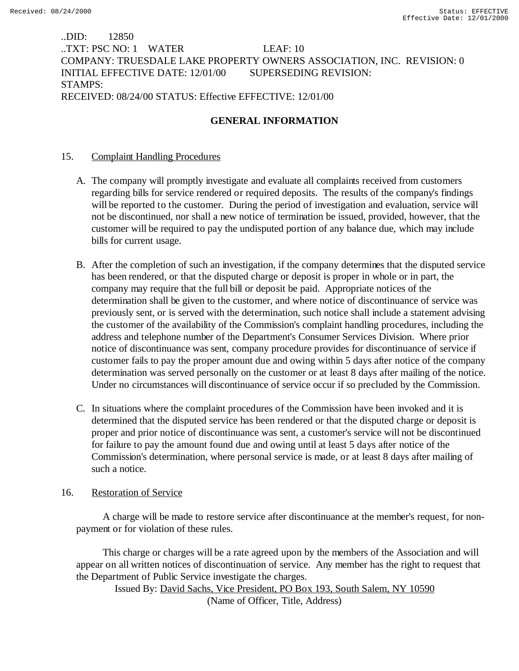# ..DID: 12850 ..TXT: PSC NO: 1 WATER LEAF: 10 COMPANY: TRUESDALE LAKE PROPERTY OWNERS ASSOCIATION, INC. REVISION: 0 INITIAL EFFECTIVE DATE: 12/01/00 SUPERSEDING REVISION: STAMPS: RECEIVED: 08/24/00 STATUS: Effective EFFECTIVE: 12/01/00

# **GENERAL INFORMATION**

# 15. Complaint Handling Procedures

- A. The company will promptly investigate and evaluate all complaints received from customers regarding bills for service rendered or required deposits. The results of the company's findings will be reported to the customer. During the period of investigation and evaluation, service will not be discontinued, nor shall a new notice of termination be issued, provided, however, that the customer will be required to pay the undisputed portion of any balance due, which may include bills for current usage.
- B. After the completion of such an investigation, if the company determines that the disputed service has been rendered, or that the disputed charge or deposit is proper in whole or in part, the company may require that the full bill or deposit be paid. Appropriate notices of the determination shall be given to the customer, and where notice of discontinuance of service was previously sent, or is served with the determination, such notice shall include a statement advising the customer of the availability of the Commission's complaint handling procedures, including the address and telephone number of the Department's Consumer Services Division. Where prior notice of discontinuance was sent, company procedure provides for discontinuance of service if customer fails to pay the proper amount due and owing within 5 days after notice of the company determination was served personally on the customer or at least 8 days after mailing of the notice. Under no circumstances will discontinuance of service occur if so precluded by the Commission.
- C. In situations where the complaint procedures of the Commission have been invoked and it is determined that the disputed service has been rendered or that the disputed charge or deposit is proper and prior notice of discontinuance was sent, a customer's service will not be discontinued for failure to pay the amount found due and owing until at least 5 days after notice of the Commission's determination, where personal service is made, or at least 8 days after mailing of such a notice.

# 16. Restoration of Service

 A charge will be made to restore service after discontinuance at the member's request, for nonpayment or for violation of these rules.

 This charge or charges will be a rate agreed upon by the members of the Association and will appear on all written notices of discontinuation of service. Any member has the right to request that the Department of Public Service investigate the charges.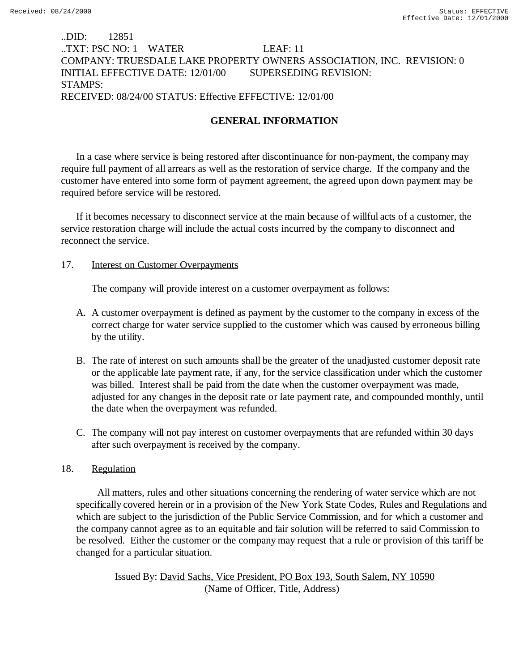# ..DID: 12851 ..TXT: PSC NO: 1 WATER LEAF: 11 COMPANY: TRUESDALE LAKE PROPERTY OWNERS ASSOCIATION, INC. REVISION: 0 INITIAL EFFECTIVE DATE: 12/01/00 SUPERSEDING REVISION: STAMPS: RECEIVED: 08/24/00 STATUS: Effective EFFECTIVE: 12/01/00

# **GENERAL INFORMATION**

In a case where service is being restored after discontinuance for non-payment, the company may require full payment of all arrears as well as the restoration of service charge. If the company and the customer have entered into some form of payment agreement, the agreed upon down payment may be required before service will be restored.

If it becomes necessary to disconnect service at the main because of willful acts of a customer, the service restoration charge will include the actual costs incurred by the company to disconnect and reconnect the service.

## 17. Interest on Customer Overpayments

The company will provide interest on a customer overpayment as follows:

- A. A customer overpayment is defined as payment by the customer to the company in excess of the correct charge for water service supplied to the customer which was caused by erroneous billing by the utility.
- B. The rate of interest on such amounts shall be the greater of the unadjusted customer deposit rate or the applicable late payment rate, if any, for the service classification under which the customer was billed. Interest shall be paid from the date when the customer overpayment was made, adjusted for any changes in the deposit rate or late payment rate, and compounded monthly, until the date when the overpayment was refunded.
- C. The company will not pay interest on customer overpayments that are refunded within 30 days after such overpayment is received by the company.

## 18. Regulation

 All matters, rules and other situations concerning the rendering of water service which are not specifically covered herein or in a provision of the New York State Codes, Rules and Regulations and which are subject to the jurisdiction of the Public Service Commission, and for which a customer and the company cannot agree as to an equitable and fair solution will be referred to said Commission to be resolved. Either the customer or the company may request that a rule or provision of this tariff be changed for a particular situation.